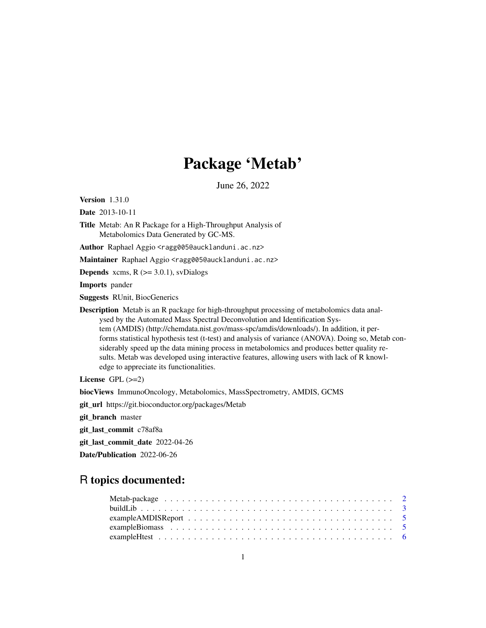# Package 'Metab'

June 26, 2022

<span id="page-0-0"></span>Version 1.31.0

Date 2013-10-11

Title Metab: An R Package for a High-Throughput Analysis of Metabolomics Data Generated by GC-MS.

Author Raphael Aggio <ragg005@aucklanduni.ac.nz>

Maintainer Raphael Aggio <ragg005@aucklanduni.ac.nz>

**Depends** xcms,  $R$  ( $>=$  3.0.1), svDialogs

Imports pander

Suggests RUnit, BiocGenerics

Description Metab is an R package for high-throughput processing of metabolomics data analysed by the Automated Mass Spectral Deconvolution and Identification System (AMDIS) (http://chemdata.nist.gov/mass-spc/amdis/downloads/). In addition, it performs statistical hypothesis test (t-test) and analysis of variance (ANOVA). Doing so, Metab considerably speed up the data mining process in metabolomics and produces better quality results. Metab was developed using interactive features, allowing users with lack of R knowledge to appreciate its functionalities.

License  $GPL$  ( $>=2$ )

biocViews ImmunoOncology, Metabolomics, MassSpectrometry, AMDIS, GCMS

git\_url https://git.bioconductor.org/packages/Metab

git\_branch master

git\_last\_commit c78af8a

git\_last\_commit\_date 2022-04-26

Date/Publication 2022-06-26

# R topics documented: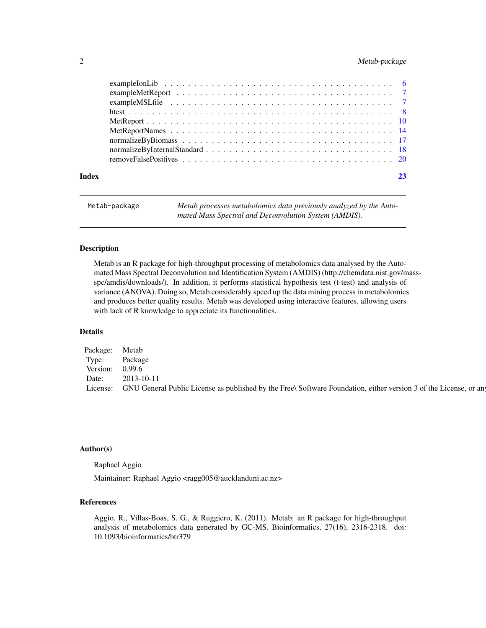# <span id="page-1-0"></span>2 Metab-package

| Index |  |
|-------|--|

Metab-package *Metab processes metabolomics data previously analyzed by the Automated Mass Spectral and Deconvolution System (AMDIS).*

# Description

Metab is an R package for high-throughput processing of metabolomics data analysed by the Automated Mass Spectral Deconvolution and Identification System (AMDIS) (http://chemdata.nist.gov/massspc/amdis/downloads/). In addition, it performs statistical hypothesis test (t-test) and analysis of variance (ANOVA). Doing so, Metab considerably speed up the data mining process in metabolomics and produces better quality results. Metab was developed using interactive features, allowing users with lack of R knowledge to appreciate its functionalities.

# Details

| Package: | Metab                                                                                                                     |
|----------|---------------------------------------------------------------------------------------------------------------------------|
| Type:    | Package                                                                                                                   |
| Version: | 0.99.6                                                                                                                    |
| Date:    | 2013-10-11                                                                                                                |
|          | License: GNU General Public License as published by the Free\ Software Foundation, either version 3 of the License, or an |
|          |                                                                                                                           |

# Author(s)

Raphael Aggio

Maintainer: Raphael Aggio <ragg005@aucklanduni.ac.nz>

#### References

Aggio, R., Villas-Boas, S. G., & Ruggiero, K. (2011). Metab: an R package for high-throughput analysis of metabolomics data generated by GC-MS. Bioinformatics, 27(16), 2316-2318. doi: 10.1093/bioinformatics/btr379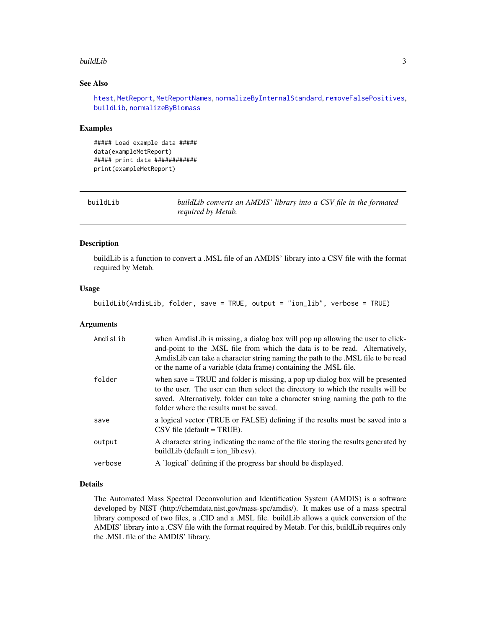#### <span id="page-2-0"></span>buildLib 3

# See Also

[htest](#page-7-1), [MetReport](#page-9-1), [MetReportNames](#page-13-1), [normalizeByInternalStandard](#page-17-1), [removeFalsePositives](#page-19-1), [buildLib](#page-2-1), [normalizeByBiomass](#page-16-1)

#### Examples

##### Load example data ##### data(exampleMetReport) ##### print data ############ print(exampleMetReport)

<span id="page-2-1"></span>

| buildLib | buildLib converts an AMDIS' library into a CSV file in the formated |  |
|----------|---------------------------------------------------------------------|--|
|          | required by Metab.                                                  |  |

# Description

buildLib is a function to convert a .MSL file of an AMDIS' library into a CSV file with the format required by Metab.

#### Usage

buildLib(AmdisLib, folder, save = TRUE, output = "ion\_lib", verbose = TRUE)

#### Arguments

| AmdisLib | when AmdisLib is missing, a dialog box will pop up allowing the user to click-<br>and-point to the .MSL file from which the data is to be read. Alternatively,<br>AmdisLib can take a character string naming the path to the .MSL file to be read<br>or the name of a variable (data frame) containing the .MSL file. |
|----------|------------------------------------------------------------------------------------------------------------------------------------------------------------------------------------------------------------------------------------------------------------------------------------------------------------------------|
| folder   | when save $=$ TRUE and folder is missing, a pop up dialog box will be presented<br>to the user. The user can then select the directory to which the results will be<br>saved. Alternatively, folder can take a character string naming the path to the<br>folder where the results must be saved.                      |
| save     | a logical vector (TRUE or FALSE) defining if the results must be saved into a<br>$\text{CSV file (default = TRUE)}$ .                                                                                                                                                                                                  |
| output   | A character string indicating the name of the file storing the results generated by<br>build Lib (default $=$ ion lib.csv).                                                                                                                                                                                            |
| verbose  | A 'logical' defining if the progress bar should be displayed.                                                                                                                                                                                                                                                          |

## Details

The Automated Mass Spectral Deconvolution and Identification System (AMDIS) is a software developed by NIST (http://chemdata.nist.gov/mass-spc/amdis/). It makes use of a mass spectral library composed of two files, a .CID and a .MSL file. buildLib allows a quick conversion of the AMDIS' library into a .CSV file with the format required by Metab. For this, buildLib requires only the .MSL file of the AMDIS' library.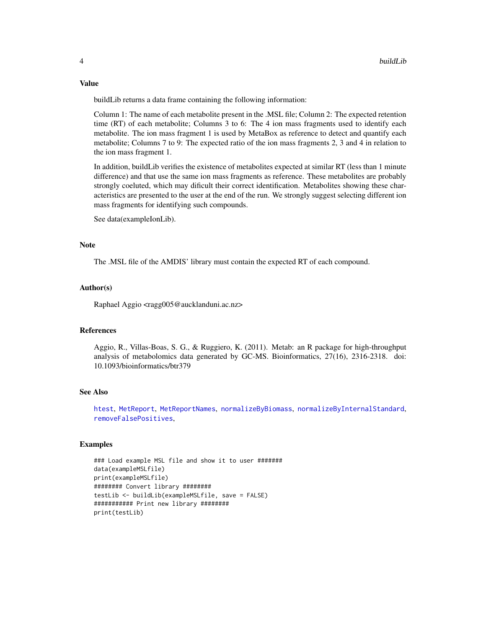#### Value

buildLib returns a data frame containing the following information:

Column 1: The name of each metabolite present in the .MSL file; Column 2: The expected retention time (RT) of each metabolite; Columns 3 to 6: The 4 ion mass fragments used to identify each metabolite. The ion mass fragment 1 is used by MetaBox as reference to detect and quantify each metabolite; Columns 7 to 9: The expected ratio of the ion mass fragments 2, 3 and 4 in relation to the ion mass fragment 1.

In addition, buildLib verifies the existence of metabolites expected at similar RT (less than 1 minute difference) and that use the same ion mass fragments as reference. These metabolites are probably strongly coeluted, which may dificult their correct identification. Metabolites showing these characteristics are presented to the user at the end of the run. We strongly suggest selecting different ion mass fragments for identifying such compounds.

See data(exampleIonLib).

#### Note

The .MSL file of the AMDIS' library must contain the expected RT of each compound.

# Author(s)

Raphael Aggio <ragg005@aucklanduni.ac.nz>

#### References

Aggio, R., Villas-Boas, S. G., & Ruggiero, K. (2011). Metab: an R package for high-throughput analysis of metabolomics data generated by GC-MS. Bioinformatics, 27(16), 2316-2318. doi: 10.1093/bioinformatics/btr379

### See Also

[htest](#page-7-1), [MetReport](#page-9-1), [MetReportNames](#page-13-1), [normalizeByBiomass](#page-16-1), [normalizeByInternalStandard](#page-17-1), [removeFalsePositives](#page-19-1),

# Examples

```
### Load example MSL file and show it to user #######
data(exampleMSLfile)
print(exampleMSLfile)
######## Convert library ########
testLib <- buildLib(exampleMSLfile, save = FALSE)
########### Print new library ########
print(testLib)
```
<span id="page-3-0"></span>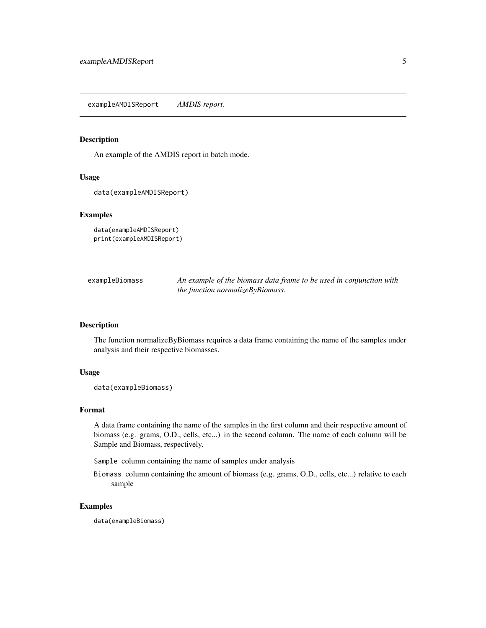<span id="page-4-0"></span>exampleAMDISReport *AMDIS report.*

# Description

An example of the AMDIS report in batch mode.

#### Usage

```
data(exampleAMDISReport)
```
### Examples

```
data(exampleAMDISReport)
print(exampleAMDISReport)
```

| exampleBiomass |
|----------------|
|----------------|

An example of the biomass data frame to be used in conjunction with *the function normalizeByBiomass.*

# Description

The function normalizeByBiomass requires a data frame containing the name of the samples under analysis and their respective biomasses.

#### Usage

```
data(exampleBiomass)
```
#### Format

A data frame containing the name of the samples in the first column and their respective amount of biomass (e.g. grams, O.D., cells, etc...) in the second column. The name of each column will be Sample and Biomass, respectively.

Sample column containing the name of samples under analysis

Biomass column containing the amount of biomass (e.g. grams, O.D., cells, etc...) relative to each sample

#### Examples

data(exampleBiomass)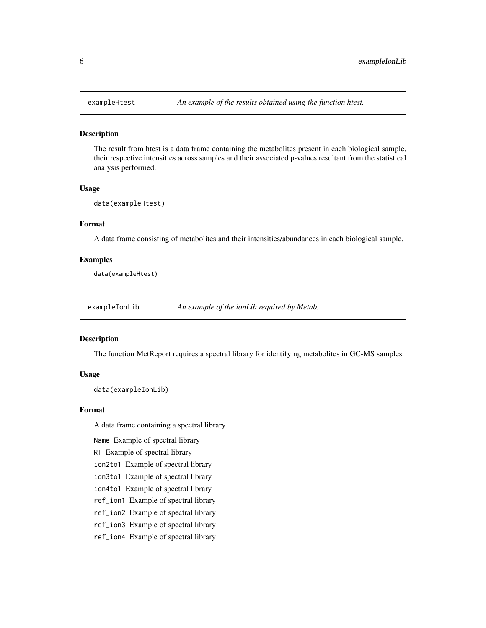#### Description

The result from htest is a data frame containing the metabolites present in each biological sample, their respective intensities across samples and their associated p-values resultant from the statistical analysis performed.

#### Usage

```
data(exampleHtest)
```
#### Format

A data frame consisting of metabolites and their intensities/abundances in each biological sample.

#### Examples

data(exampleHtest)

exampleIonLib *An example of the ionLib required by Metab.*

#### Description

The function MetReport requires a spectral library for identifying metabolites in GC-MS samples.

# Usage

```
data(exampleIonLib)
```
#### Format

A data frame containing a spectral library.

Name Example of spectral library

RT Example of spectral library

ion2to1 Example of spectral library

ion3to1 Example of spectral library

ion4to1 Example of spectral library

ref\_ion1 Example of spectral library

ref\_ion2 Example of spectral library

ref\_ion3 Example of spectral library

ref\_ion4 Example of spectral library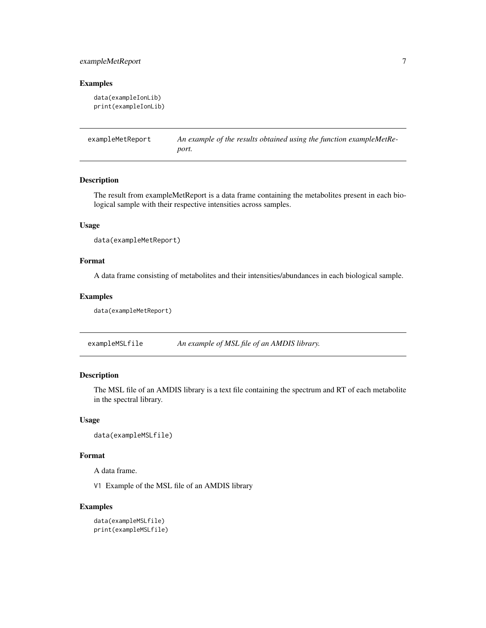# <span id="page-6-0"></span>exampleMetReport 7

# Examples

```
data(exampleIonLib)
print(exampleIonLib)
```
exampleMetReport *An example of the results obtained using the function exampleMetReport.*

### Description

The result from exampleMetReport is a data frame containing the metabolites present in each biological sample with their respective intensities across samples.

# Usage

```
data(exampleMetReport)
```
# Format

A data frame consisting of metabolites and their intensities/abundances in each biological sample.

#### Examples

```
data(exampleMetReport)
```
exampleMSLfile *An example of MSL file of an AMDIS library.*

# Description

The MSL file of an AMDIS library is a text file containing the spectrum and RT of each metabolite in the spectral library.

#### Usage

```
data(exampleMSLfile)
```
#### Format

A data frame.

V1 Example of the MSL file of an AMDIS library

# Examples

```
data(exampleMSLfile)
print(exampleMSLfile)
```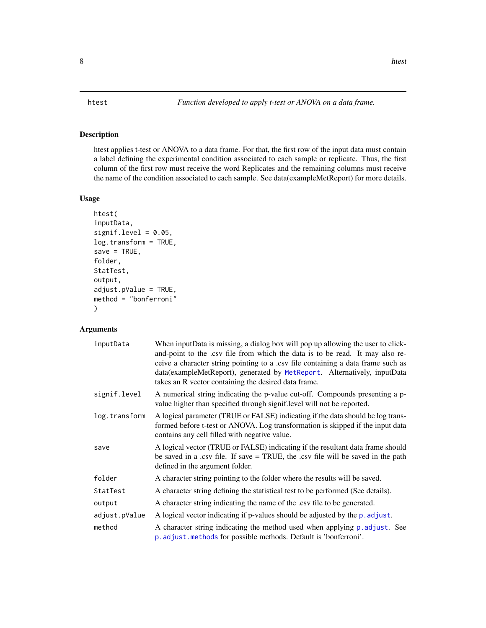# <span id="page-7-1"></span><span id="page-7-0"></span>Description

htest applies t-test or ANOVA to a data frame. For that, the first row of the input data must contain a label defining the experimental condition associated to each sample or replicate. Thus, the first column of the first row must receive the word Replicates and the remaining columns must receive the name of the condition associated to each sample. See data(exampleMetReport) for more details.

#### Usage

```
htest(
inputData,
signif.level = 0.05,
log.transform = TRUE,
save = TRUE,folder,
StatTest,
output,
adjust.pValue = TRUE,
method = "bonferroni"
\lambda
```
# Arguments

| inputData     | When inputData is missing, a dialog box will pop up allowing the user to click-<br>and-point to the .csv file from which the data is to be read. It may also re-<br>ceive a character string pointing to a .csv file containing a data frame such as<br>data(exampleMetReport), generated by MetReport. Alternatively, inputData<br>takes an R vector containing the desired data frame. |
|---------------|------------------------------------------------------------------------------------------------------------------------------------------------------------------------------------------------------------------------------------------------------------------------------------------------------------------------------------------------------------------------------------------|
| signif.level  | A numerical string indicating the p-value cut-off. Compounds presenting a p-<br>value higher than specified through signif.level will not be reported.                                                                                                                                                                                                                                   |
| log.transform | A logical parameter (TRUE or FALSE) indicating if the data should be log trans-<br>formed before t-test or ANOVA. Log transformation is skipped if the input data<br>contains any cell filled with negative value.                                                                                                                                                                       |
| save          | A logical vector (TRUE or FALSE) indicating if the resultant data frame should<br>be saved in a .csv file. If save = TRUE, the .csv file will be saved in the path<br>defined in the argument folder.                                                                                                                                                                                    |
| folder        | A character string pointing to the folder where the results will be saved.                                                                                                                                                                                                                                                                                                               |
| StatTest      | A character string defining the statistical test to be performed (See details).                                                                                                                                                                                                                                                                                                          |
| output        | A character string indicating the name of the .csv file to be generated.                                                                                                                                                                                                                                                                                                                 |
| adjust.pValue | A logical vector indicating if p-values should be adjusted by the p. adjust.                                                                                                                                                                                                                                                                                                             |
| method        | A character string indicating the method used when applying p. adjust. See<br>p. adjust. methods for possible methods. Default is 'bonferroni'.                                                                                                                                                                                                                                          |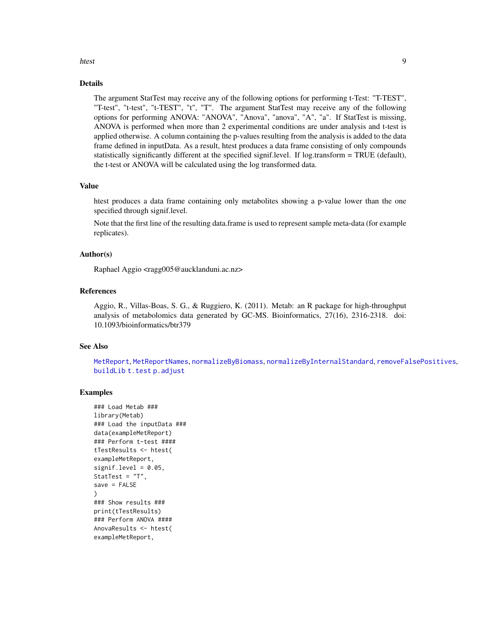#### <span id="page-8-0"></span>htest 9

# Details

The argument StatTest may receive any of the following options for performing t-Test: "T-TEST", "T-test", "t-test", "t-TEST", "t", "T". The argument StatTest may receive any of the following options for performing ANOVA: "ANOVA", "Anova", "anova", "A", "a". If StatTest is missing, ANOVA is performed when more than 2 experimental conditions are under analysis and t-test is applied otherwise. A column containing the p-values resulting from the analysis is added to the data frame defined in inputData. As a result, htest produces a data frame consisting of only compounds statistically significantly different at the specified signif.level. If log.transform = TRUE (default), the t-test or ANOVA will be calculated using the log transformed data.

#### Value

htest produces a data frame containing only metabolites showing a p-value lower than the one specified through signif.level.

Note that the first line of the resulting data.frame is used to represent sample meta-data (for example replicates).

### Author(s)

Raphael Aggio <ragg005@aucklanduni.ac.nz>

#### References

Aggio, R., Villas-Boas, S. G., & Ruggiero, K. (2011). Metab: an R package for high-throughput analysis of metabolomics data generated by GC-MS. Bioinformatics, 27(16), 2316-2318. doi: 10.1093/bioinformatics/btr379

#### See Also

[MetReport](#page-9-1), [MetReportNames](#page-13-1), [normalizeByBiomass](#page-16-1), [normalizeByInternalStandard](#page-17-1), [removeFalsePositives](#page-19-1), [buildLib](#page-2-1) [t.test](#page-0-0) [p.adjust](#page-0-0)

### Examples

```
### Load Metab ###
library(Metab)
### Load the inputData ###
data(exampleMetReport)
### Perform t-test ####
tTestResults <- htest(
exampleMetReport,
signif.level = 0.05,
StatTest = "T",
save = FALSE
)
### Show results ###
print(tTestResults)
### Perform ANOVA ####
AnovaResults <- htest(
exampleMetReport,
```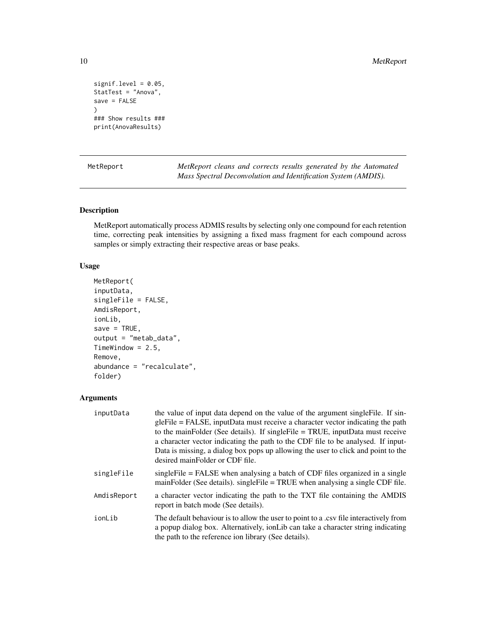```
signif.level = 0.05,
StatTest = "Anova",
save = FALSE
\lambda### Show results ###
print(AnovaResults)
```
<span id="page-9-1"></span>MetReport *MetReport cleans and corrects results generated by the Automated Mass Spectral Deconvolution and Identification System (AMDIS).*

# Description

MetReport automatically process ADMIS results by selecting only one compound for each retention time, correcting peak intensities by assigning a fixed mass fragment for each compound across samples or simply extracting their respective areas or base peaks.

# Usage

```
MetReport(
inputData,
singleFile = FALSE,
AmdisReport,
ionLib,
save = TRUE,
output = "metab_data",
TimeWindow = 2.5,
Remove,
abundance = "recalculate",
folder)
```
#### Arguments

| inputData   | the value of input data depend on the value of the argument single File. If sin-<br>gleFile = FALSE, inputData must receive a character vector indicating the path<br>to the mainFolder (See details). If single File = TRUE, inputData must receive<br>a character vector indicating the path to the CDF file to be analysed. If input-<br>Data is missing, a dialog box pops up allowing the user to click and point to the<br>desired mainFolder or CDF file. |
|-------------|------------------------------------------------------------------------------------------------------------------------------------------------------------------------------------------------------------------------------------------------------------------------------------------------------------------------------------------------------------------------------------------------------------------------------------------------------------------|
| singleFile  | single File = FALSE when analysing a batch of CDF files organized in a single<br>mainFolder (See details). singleFile = TRUE when analysing a single CDF file.                                                                                                                                                                                                                                                                                                   |
| AmdisReport | a character vector indicating the path to the TXT file containing the AMDIS<br>report in batch mode (See details).                                                                                                                                                                                                                                                                                                                                               |
| ionLib      | The default behaviour is to allow the user to point to a .csv file interactively from<br>a popup dialog box. Alternatively, ion Lib can take a character string indicating<br>the path to the reference ion library (See details).                                                                                                                                                                                                                               |

<span id="page-9-0"></span>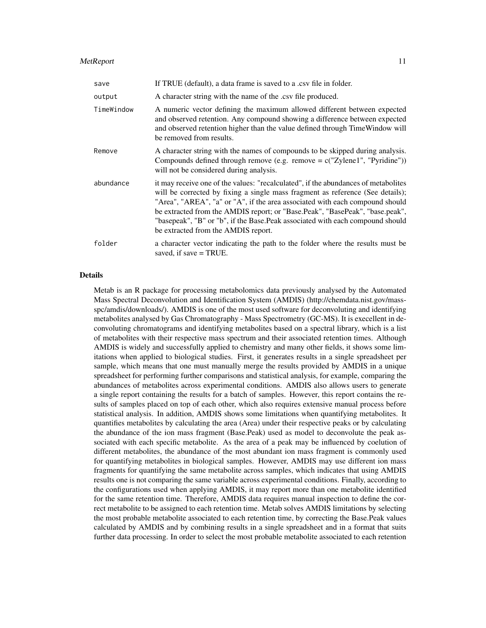#### MetReport 11

| save       | If TRUE (default), a data frame is saved to a .csv file in folder.                                                                                                                                                                                                                                                                                                                                                                                            |
|------------|---------------------------------------------------------------------------------------------------------------------------------------------------------------------------------------------------------------------------------------------------------------------------------------------------------------------------------------------------------------------------------------------------------------------------------------------------------------|
| output     | A character string with the name of the .csv file produced.                                                                                                                                                                                                                                                                                                                                                                                                   |
| TimeWindow | A numeric vector defining the maximum allowed different between expected<br>and observed retention. Any compound showing a difference between expected<br>and observed retention higher than the value defined through TimeWindow will<br>be removed from results.                                                                                                                                                                                            |
| Remove     | A character string with the names of compounds to be skipped during analysis.<br>Compounds defined through remove (e.g. remove $= c("Zylene1", "Pyridine"))$ )<br>will not be considered during analysis.                                                                                                                                                                                                                                                     |
| abundance  | it may receive one of the values: "recalculated", if the abundances of metabolities<br>will be corrected by fixing a single mass fragment as reference (See details);<br>"Area", "AREA", "a" or "A", if the area associated with each compound should<br>be extracted from the AMDIS report; or "Base.Peak", "BasePeak", "base.peak",<br>"basepeak", "B" or "b", if the Base.Peak associated with each compound should<br>be extracted from the AMDIS report. |
| folder     | a character vector indicating the path to the folder where the results must be<br>saved, if save $=$ TRUE.                                                                                                                                                                                                                                                                                                                                                    |

## Details

Metab is an R package for processing metabolomics data previously analysed by the Automated Mass Spectral Deconvolution and Identification System (AMDIS) (http://chemdata.nist.gov/massspc/amdis/downloads/). AMDIS is one of the most used software for deconvoluting and identifying metabolites analysed by Gas Chromatography - Mass Spectrometry (GC-MS). It is execellent in deconvoluting chromatograms and identifying metabolites based on a spectral library, which is a list of metabolites with their respective mass spectrum and their associated retention times. Although AMDIS is widely and successfully applied to chemistry and many other fields, it shows some limitations when applied to biological studies. First, it generates results in a single spreadsheet per sample, which means that one must manually merge the results provided by AMDIS in a unique spreadsheet for performing further comparisons and statistical analysis, for example, comparing the abundances of metabolites across experimental conditions. AMDIS also allows users to generate a single report containing the results for a batch of samples. However, this report contains the results of samples placed on top of each other, which also requires extensive manual process before statistical analysis. In addition, AMDIS shows some limitations when quantifying metabolites. It quantifies metabolites by calculating the area (Area) under their respective peaks or by calculating the abundance of the ion mass fragment (Base.Peak) used as model to deconvolute the peak associated with each specific metabolite. As the area of a peak may be influenced by coelution of different metabolites, the abundance of the most abundant ion mass fragment is commonly used for quantifying metabolites in biological samples. However, AMDIS may use different ion mass fragments for quantifying the same metabolite across samples, which indicates that using AMDIS results one is not comparing the same variable across experimental conditions. Finally, according to the configurations used when applying AMDIS, it may report more than one metabolite identified for the same retention time. Therefore, AMDIS data requires manual inspection to define the correct metabolite to be assigned to each retention time. Metab solves AMDIS limitations by selecting the most probable metabolite associated to each retention time, by correcting the Base.Peak values calculated by AMDIS and by combining results in a single spreadsheet and in a format that suits further data processing. In order to select the most probable metabolite associated to each retention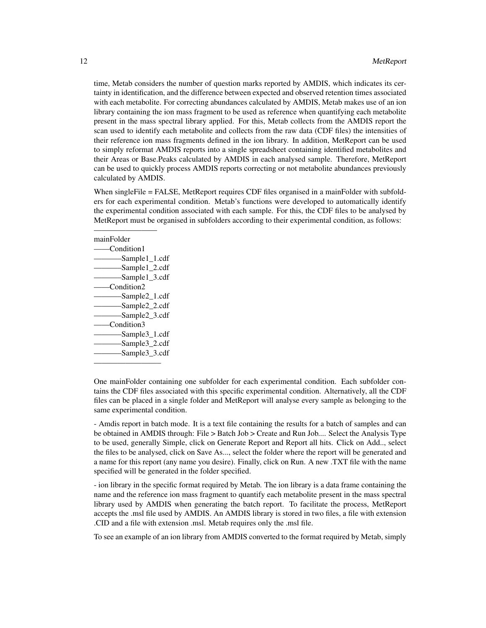time, Metab considers the number of question marks reported by AMDIS, which indicates its certainty in identification, and the difference between expected and observed retention times associated with each metabolite. For correcting abundances calculated by AMDIS, Metab makes use of an ion library containing the ion mass fragment to be used as reference when quantifying each metabolite present in the mass spectral library applied. For this, Metab collects from the AMDIS report the scan used to identify each metabolite and collects from the raw data (CDF files) the intensities of their reference ion mass fragments defined in the ion library. In addition, MetReport can be used to simply reformat AMDIS reports into a single spreadsheet containing identified metabolites and their Areas or Base.Peaks calculated by AMDIS in each analysed sample. Therefore, MetReport can be used to quickly process AMDIS reports correcting or not metabolite abundances previously calculated by AMDIS.

When singleFile = FALSE, MetReport requires CDF files organised in a mainFolder with subfolders for each experimental condition. Metab's functions were developed to automatically identify the experimental condition associated with each sample. For this, the CDF files to be analysed by MetReport must be organised in subfolders according to their experimental condition, as follows:

# mainFolder ——Condition1 ———–Sample1\_1.cdf -Sample1\_2.cdf -Sample1\_3.cdf -Condition2 -Sample2\_1.cdf -Sample2\_2.cdf ———–Sample2\_3.cdf  $-$ Condition3 ———–Sample3\_1.cdf -Sample3\_2.cdf ———–Sample3\_3.cdf

————————–

————————

One mainFolder containing one subfolder for each experimental condition. Each subfolder contains the CDF files associated with this specific experimental condition. Alternatively, all the CDF files can be placed in a single folder and MetReport will analyse every sample as belonging to the same experimental condition.

- Amdis report in batch mode. It is a text file containing the results for a batch of samples and can be obtained in AMDIS through: File > Batch Job > Create and Run Job.... Select the Analysis Type to be used, generally Simple, click on Generate Report and Report all hits. Click on Add.., select the files to be analysed, click on Save As..., select the folder where the report will be generated and a name for this report (any name you desire). Finally, click on Run. A new .TXT file with the name specified will be generated in the folder specified.

- ion library in the specific format required by Metab. The ion library is a data frame containing the name and the reference ion mass fragment to quantify each metabolite present in the mass spectral library used by AMDIS when generating the batch report. To facilitate the process, MetReport accepts the .msl file used by AMDIS. An AMDIS library is stored in two files, a file with extension .CID and a file with extension .msl. Metab requires only the .msl file.

To see an example of an ion library from AMDIS converted to the format required by Metab, simply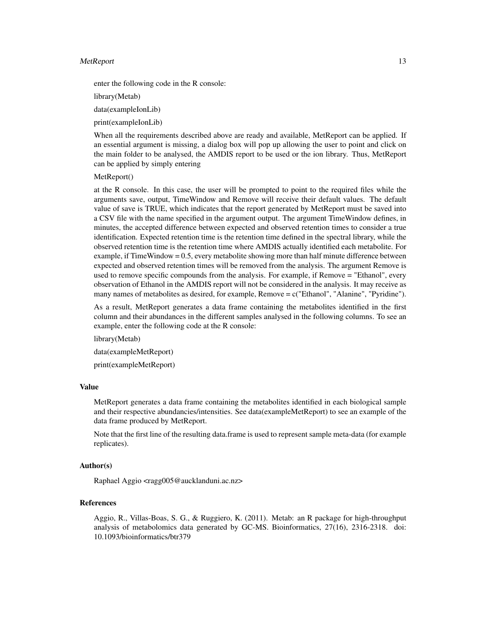#### MetReport 2012 and 2013 and 2014 and 2014 and 2014 and 2014 and 2014 and 2014 and 2014 and 2014 and 2014 and 20

enter the following code in the R console:

library(Metab)

data(exampleIonLib)

print(exampleIonLib)

When all the requirements described above are ready and available, MetReport can be applied. If an essential argument is missing, a dialog box will pop up allowing the user to point and click on the main folder to be analysed, the AMDIS report to be used or the ion library. Thus, MetReport can be applied by simply entering

#### MetReport()

at the R console. In this case, the user will be prompted to point to the required files while the arguments save, output, TimeWindow and Remove will receive their default values. The default value of save is TRUE, which indicates that the report generated by MetReport must be saved into a CSV file with the name specified in the argument output. The argument TimeWindow defines, in minutes, the accepted difference between expected and observed retention times to consider a true identification. Expected retention time is the retention time defined in the spectral library, while the observed retention time is the retention time where AMDIS actually identified each metabolite. For example, if TimeWindow = 0.5, every metabolite showing more than half minute difference between expected and observed retention times will be removed from the analysis. The argument Remove is used to remove specific compounds from the analysis. For example, if Remove = "Ethanol", every observation of Ethanol in the AMDIS report will not be considered in the analysis. It may receive as many names of metabolites as desired, for example, Remove = c("Ethanol", "Alanine", "Pyridine").

As a result, MetReport generates a data frame containing the metabolites identified in the first column and their abundances in the different samples analysed in the following columns. To see an example, enter the following code at the R console:

library(Metab)

data(exampleMetReport)

print(exampleMetReport)

#### Value

MetReport generates a data frame containing the metabolites identified in each biological sample and their respective abundancies/intensities. See data(exampleMetReport) to see an example of the data frame produced by MetReport.

Note that the first line of the resulting data.frame is used to represent sample meta-data (for example replicates).

# Author(s)

Raphael Aggio <ragg005@aucklanduni.ac.nz>

#### References

Aggio, R., Villas-Boas, S. G., & Ruggiero, K. (2011). Metab: an R package for high-throughput analysis of metabolomics data generated by GC-MS. Bioinformatics, 27(16), 2316-2318. doi: 10.1093/bioinformatics/btr379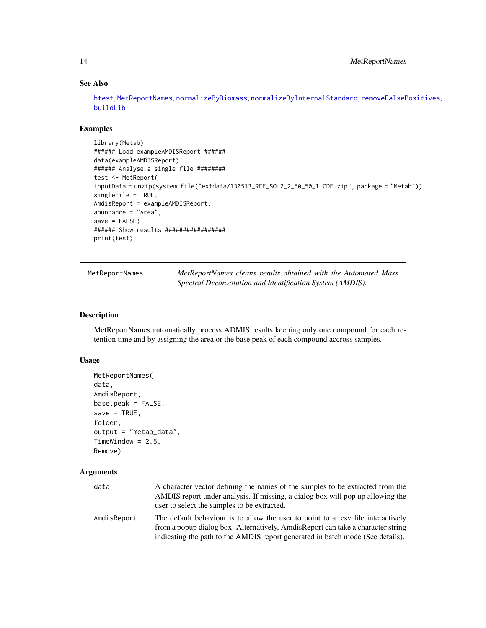# See Also

[htest](#page-7-1), [MetReportNames](#page-13-1), [normalizeByBiomass](#page-16-1), [normalizeByInternalStandard](#page-17-1), [removeFalsePositives](#page-19-1), [buildLib](#page-2-1)

# Examples

```
library(Metab)
###### Load exampleAMDISReport ######
data(exampleAMDISReport)
###### Analyse a single file ########
test <- MetReport(
inputData = unzip(system.file("extdata/130513_REF_SOL2_2_50_50_1.CDF.zip", package = "Metab")),
singleFile = TRUE,
AmdisReport = exampleAMDISReport,
abundance = "Area",
save = FALSE)###### Show results #################
print(test)
```
<span id="page-13-1"></span>MetReportNames *MetReportNames cleans results obtained with the Automated Mass Spectral Deconvolution and Identification System (AMDIS).*

# Description

MetReportNames automatically process ADMIS results keeping only one compound for each retention time and by assigning the area or the base peak of each compound accross samples.

### Usage

```
MetReportNames(
data,
AmdisReport,
base.\text{peak} = \text{FALSE}save = TRUE,
folder,
output = "metab_data",
TimeWindow = 2.5,
Remove)
```
## Arguments

| data        | A character vector defining the names of the samples to be extracted from the    |
|-------------|----------------------------------------------------------------------------------|
|             | AMDIS report under analysis. If missing, a dialog box will pop up allowing the   |
|             | user to select the samples to be extracted.                                      |
| AmdisReport | The default behaviour is to allow the user to point to a .csv file interactively |
|             | from a popup dialog box. Alternatively, AmdisReport can take a character string  |
|             | indicating the path to the AMDIS report generated in batch mode (See details).   |

<span id="page-13-0"></span>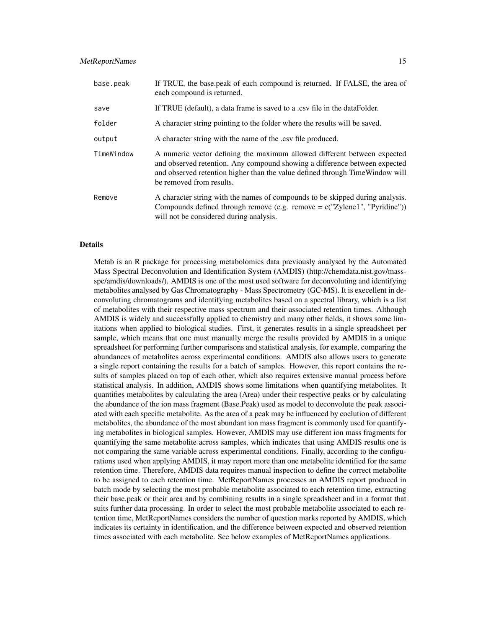#### MetReportNames 15

| base.peak  | If TRUE, the base peak of each compound is returned. If FALSE, the area of<br>each compound is returned.                                                                                                                                                            |
|------------|---------------------------------------------------------------------------------------------------------------------------------------------------------------------------------------------------------------------------------------------------------------------|
| save       | If TRUE (default), a data frame is saved to a .csv file in the data Folder.                                                                                                                                                                                         |
| folder     | A character string pointing to the folder where the results will be saved.                                                                                                                                                                                          |
| output     | A character string with the name of the .csv file produced.                                                                                                                                                                                                         |
| TimeWindow | A numeric vector defining the maximum allowed different between expected<br>and observed retention. Any compound showing a difference between expected<br>and observed retention higher than the value defined through Time Window will<br>be removed from results. |
| Remove     | A character string with the names of compounds to be skipped during analysis.<br>Compounds defined through remove (e.g. remove $= c("Zylene1", "Pyridine"))$ )<br>will not be considered during analysis.                                                           |

#### Details

Metab is an R package for processing metabolomics data previously analysed by the Automated Mass Spectral Deconvolution and Identification System (AMDIS) (http://chemdata.nist.gov/massspc/amdis/downloads/). AMDIS is one of the most used software for deconvoluting and identifying metabolites analysed by Gas Chromatography - Mass Spectrometry (GC-MS). It is execellent in deconvoluting chromatograms and identifying metabolites based on a spectral library, which is a list of metabolites with their respective mass spectrum and their associated retention times. Although AMDIS is widely and successfully applied to chemistry and many other fields, it shows some limitations when applied to biological studies. First, it generates results in a single spreadsheet per sample, which means that one must manually merge the results provided by AMDIS in a unique spreadsheet for performing further comparisons and statistical analysis, for example, comparing the abundances of metabolites across experimental conditions. AMDIS also allows users to generate a single report containing the results for a batch of samples. However, this report contains the results of samples placed on top of each other, which also requires extensive manual process before statistical analysis. In addition, AMDIS shows some limitations when quantifying metabolites. It quantifies metabolites by calculating the area (Area) under their respective peaks or by calculating the abundance of the ion mass fragment (Base.Peak) used as model to deconvolute the peak associated with each specific metabolite. As the area of a peak may be influenced by coelution of different metabolites, the abundance of the most abundant ion mass fragment is commonly used for quantifying metabolites in biological samples. However, AMDIS may use different ion mass fragments for quantifying the same metabolite across samples, which indicates that using AMDIS results one is not comparing the same variable across experimental conditions. Finally, according to the configurations used when applying AMDIS, it may report more than one metabolite identified for the same retention time. Therefore, AMDIS data requires manual inspection to define the correct metabolite to be assigned to each retention time. MetReportNames processes an AMDIS report produced in batch mode by selecting the most probable metabolite associated to each retention time, extracting their base.peak or their area and by combining results in a single spreadsheet and in a format that suits further data processing. In order to select the most probable metabolite associated to each retention time, MetReportNames considers the number of question marks reported by AMDIS, which indicates its certainty in identification, and the difference between expected and observed retention times associated with each metabolite. See below examples of MetReportNames applications.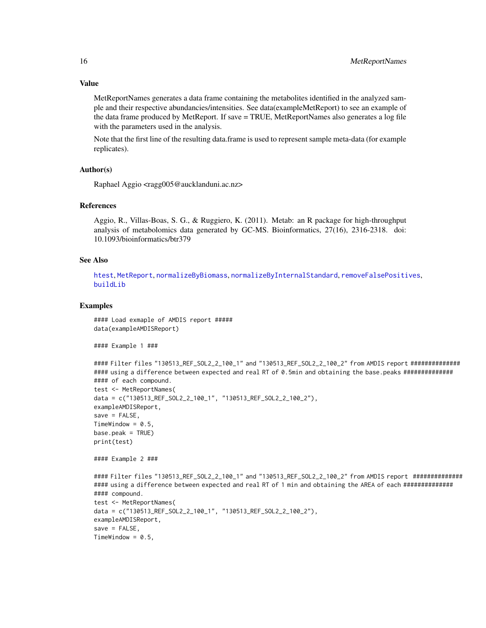#### Value

MetReportNames generates a data frame containing the metabolites identified in the analyzed sample and their respective abundancies/intensities. See data(exampleMetReport) to see an example of the data frame produced by MetReport. If save = TRUE, MetReportNames also generates a log file with the parameters used in the analysis.

Note that the first line of the resulting data.frame is used to represent sample meta-data (for example replicates).

# Author(s)

Raphael Aggio <ragg005@aucklanduni.ac.nz>

# References

Aggio, R., Villas-Boas, S. G., & Ruggiero, K. (2011). Metab: an R package for high-throughput analysis of metabolomics data generated by GC-MS. Bioinformatics, 27(16), 2316-2318. doi: 10.1093/bioinformatics/btr379

#### See Also

[htest](#page-7-1), [MetReport](#page-9-1), [normalizeByBiomass](#page-16-1), [normalizeByInternalStandard](#page-17-1), [removeFalsePositives](#page-19-1), [buildLib](#page-2-1)

#### Examples

#### Load exmaple of AMDIS report ##### data(exampleAMDISReport)

#### Example 1 ###

```
#### Filter files "130513_REF_SOL2_2_100_1" and "130513_REF_SOL2_2_100_2" from AMDIS report ##############
#### using a difference between expected and real RT of 0.5min and obtaining the base.peaks ###############
#### of each compound.
test <- MetReportNames(
data = c("130513_REF_SOL2_2_100_1", "130513_REF_SOL2_2_100_2"),
exampleAMDISReport,
save = FALSE,TimeWindow = 0.5,
base.peak = TRUE)
print(test)
#### Example 2 ###
#### Filter files "130513_REF_SOL2_2_100_1" and "130513_REF_SOL2_2_100_2" from AMDIS report ##############
#### using a difference between expected and real RT of 1 min and obtaining the AREA of each ###############
#### compound.
test <- MetReportNames(
data = c("130513_REF_SOL2_2_100_1", "130513_REF_SOL2_2_100_2"),
exampleAMDISReport,
save = FALSE,
TimeWindow = 0.5,
```
<span id="page-15-0"></span>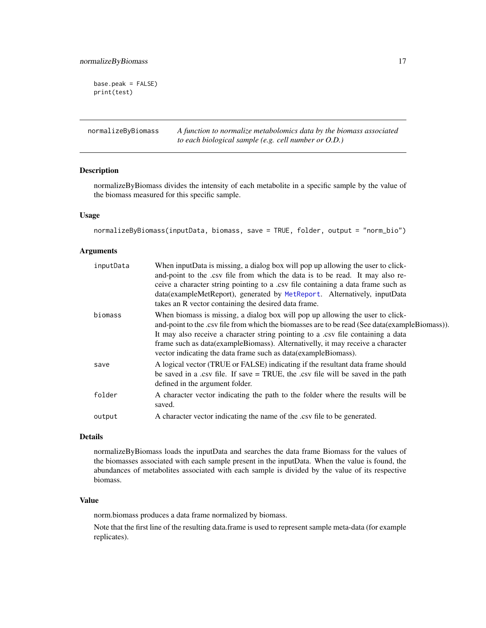<span id="page-16-0"></span>base.peak = FALSE) print(test)

<span id="page-16-1"></span>normalizeByBiomass *A function to normalize metabolomics data by the biomass associated to each biological sample (e.g. cell number or O.D.)*

# Description

normalizeByBiomass divides the intensity of each metabolite in a specific sample by the value of the biomass measured for this specific sample.

#### Usage

```
normalizeByBiomass(inputData, biomass, save = TRUE, folder, output = "norm_bio")
```
#### Arguments

| inputData | When inputData is missing, a dialog box will pop up allowing the user to click-<br>and-point to the .csv file from which the data is to be read. It may also re-<br>ceive a character string pointing to a .csv file containing a data frame such as<br>data(exampleMetReport), generated by MetReport. Alternatively, inputData<br>takes an R vector containing the desired data frame.                                    |
|-----------|-----------------------------------------------------------------------------------------------------------------------------------------------------------------------------------------------------------------------------------------------------------------------------------------------------------------------------------------------------------------------------------------------------------------------------|
| biomass   | When biomass is missing, a dialog box will pop up allowing the user to click-<br>and-point to the .csv file from which the biomasses are to be read (See data (example Biomass)).<br>It may also receive a character string pointing to a .csv file containing a data<br>frame such as data (example Biomass). Alternativelly, it may receive a character<br>vector indicating the data frame such as data(exampleBiomass). |
| save      | A logical vector (TRUE or FALSE) indicating if the resultant data frame should<br>be saved in a .csv file. If save $=$ TRUE, the .csv file will be saved in the path<br>defined in the argument folder.                                                                                                                                                                                                                     |
| folder    | A character vector indicating the path to the folder where the results will be<br>saved.                                                                                                                                                                                                                                                                                                                                    |
| output    | A character vector indicating the name of the .csv file to be generated.                                                                                                                                                                                                                                                                                                                                                    |

# Details

normalizeByBiomass loads the inputData and searches the data frame Biomass for the values of the biomasses associated with each sample present in the inputData. When the value is found, the abundances of metabolites associated with each sample is divided by the value of its respective biomass.

#### Value

norm.biomass produces a data frame normalized by biomass.

Note that the first line of the resulting data.frame is used to represent sample meta-data (for example replicates).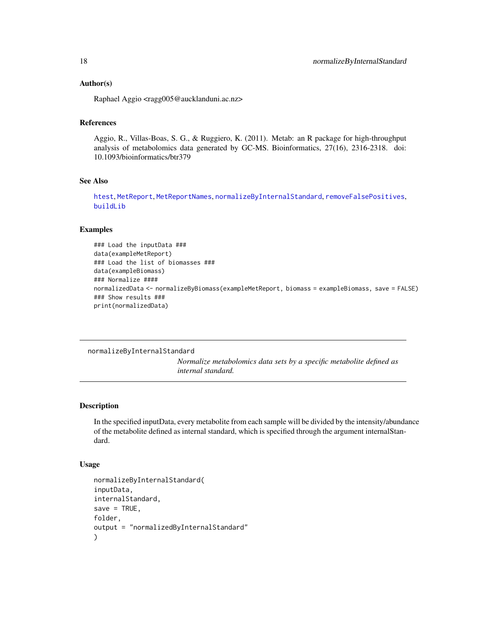#### <span id="page-17-0"></span>Author(s)

Raphael Aggio <ragg005@aucklanduni.ac.nz>

# References

Aggio, R., Villas-Boas, S. G., & Ruggiero, K. (2011). Metab: an R package for high-throughput analysis of metabolomics data generated by GC-MS. Bioinformatics, 27(16), 2316-2318. doi: 10.1093/bioinformatics/btr379

# See Also

[htest](#page-7-1), [MetReport](#page-9-1), [MetReportNames](#page-13-1), [normalizeByInternalStandard](#page-17-1), [removeFalsePositives](#page-19-1), [buildLib](#page-2-1)

#### Examples

```
### Load the inputData ###
data(exampleMetReport)
### Load the list of biomasses ###
data(exampleBiomass)
### Normalize ####
normalizedData <- normalizeByBiomass(exampleMetReport, biomass = exampleBiomass, save = FALSE)
### Show results ###
print(normalizedData)
```
<span id="page-17-1"></span>normalizeByInternalStandard

*Normalize metabolomics data sets by a specific metabolite defined as internal standard.*

# Description

In the specified inputData, every metabolite from each sample will be divided by the intensity/abundance of the metabolite defined as internal standard, which is specified through the argument internalStandard.

#### Usage

```
normalizeByInternalStandard(
inputData,
internalStandard,
save = TRUE,
folder,
output = "normalizedByInternalStandard"
)
```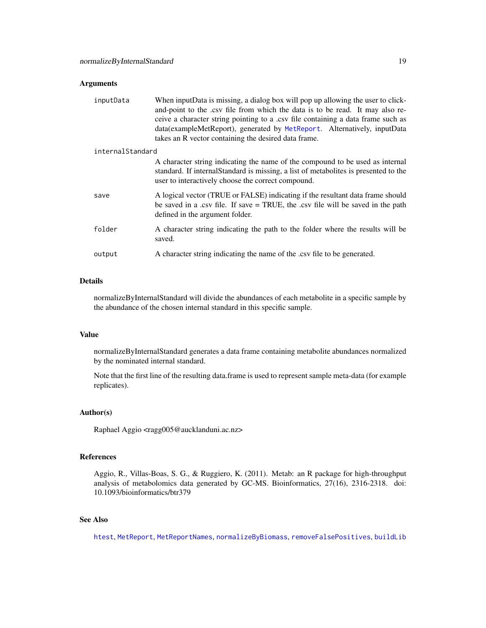### <span id="page-18-0"></span>Arguments

| inputData        | When inputData is missing, a dialog box will pop up allowing the user to click-<br>and-point to the .csv file from which the data is to be read. It may also re-<br>ceive a character string pointing to a .csv file containing a data frame such as<br>data(exampleMetReport), generated by MetReport. Alternatively, inputData<br>takes an R vector containing the desired data frame. |  |
|------------------|------------------------------------------------------------------------------------------------------------------------------------------------------------------------------------------------------------------------------------------------------------------------------------------------------------------------------------------------------------------------------------------|--|
| internalStandard |                                                                                                                                                                                                                                                                                                                                                                                          |  |
|                  | A character string indicating the name of the compound to be used as internal<br>standard. If internal Standard is missing, a list of metabolities is presented to the<br>user to interactively choose the correct compound.                                                                                                                                                             |  |
| save             | A logical vector (TRUE or FALSE) indicating if the resultant data frame should<br>be saved in a .csv file. If save $=$ TRUE, the .csv file will be saved in the path<br>defined in the argument folder.                                                                                                                                                                                  |  |
| folder           | A character string indicating the path to the folder where the results will be<br>saved.                                                                                                                                                                                                                                                                                                 |  |
| output           | A character string indicating the name of the .csv file to be generated.                                                                                                                                                                                                                                                                                                                 |  |

# Details

normalizeByInternalStandard will divide the abundances of each metabolite in a specific sample by the abundance of the chosen internal standard in this specific sample.

#### Value

normalizeByInternalStandard generates a data frame containing metabolite abundances normalized by the nominated internal standard.

Note that the first line of the resulting data.frame is used to represent sample meta-data (for example replicates).

#### Author(s)

Raphael Aggio <ragg005@aucklanduni.ac.nz>

#### References

Aggio, R., Villas-Boas, S. G., & Ruggiero, K. (2011). Metab: an R package for high-throughput analysis of metabolomics data generated by GC-MS. Bioinformatics, 27(16), 2316-2318. doi: 10.1093/bioinformatics/btr379

# See Also

[htest](#page-7-1), [MetReport](#page-9-1), [MetReportNames](#page-13-1), [normalizeByBiomass](#page-16-1), [removeFalsePositives](#page-19-1), [buildLib](#page-2-1)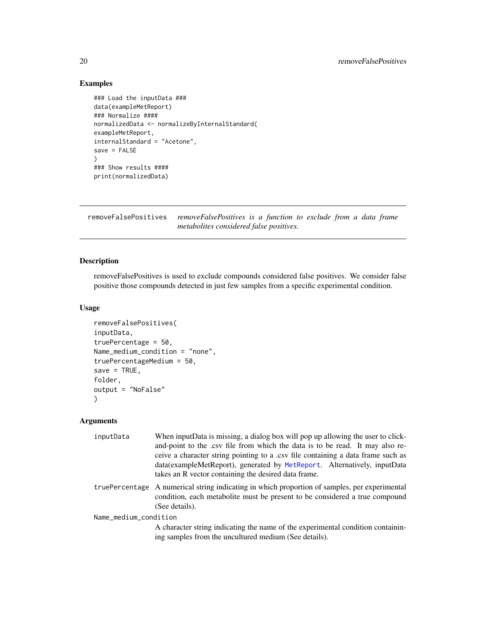# Examples

```
### Load the inputData ###
data(exampleMetReport)
### Normalize ####
normalizedData <- normalizeByInternalStandard(
exampleMetReport,
internalStandard = "Acetone",
save = FALSE)
### Show results ####
print(normalizedData)
```
<span id="page-19-1"></span>removeFalsePositives *removeFalsePositives is a function to exclude from a data frame metabolites considered false positives.*

# Description

removeFalsePositives is used to exclude compounds considered false positives. We consider false positive those compounds detected in just few samples from a specific experimental condition.

#### Usage

```
removeFalsePositives(
inputData,
truePercentage = 50,
Name_medium_condition = "none",
truePercentageMedium = 50,
save = TRUE,folder,
output = "NoFalse"
)
```
#### Arguments

| inputData             | When inputData is missing, a dialog box will pop up allowing the user to click-<br>and-point to the .csv file from which the data is to be read. It may also re-<br>ceive a character string pointing to a .csv file containing a data frame such as<br>data (exampleMetReport), generated by MetReport. Alternatively, inputData<br>takes an R vector containing the desired data frame. |
|-----------------------|-------------------------------------------------------------------------------------------------------------------------------------------------------------------------------------------------------------------------------------------------------------------------------------------------------------------------------------------------------------------------------------------|
|                       | truePercentage A numerical string indicating in which proportion of samples, per experimental<br>condition, each metabolite must be present to be considered a true compound<br>(See details).                                                                                                                                                                                            |
| Name_medium_condition |                                                                                                                                                                                                                                                                                                                                                                                           |
|                       | A character string indicating the name of the experimental condition containin-<br>ing samples from the uncultured medium (See details).                                                                                                                                                                                                                                                  |

<span id="page-19-0"></span>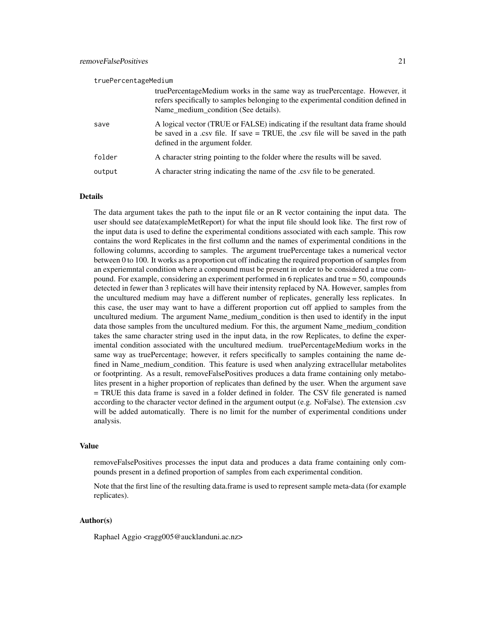| truePercentageMedium |        |                                                                                                                                                                                                         |
|----------------------|--------|---------------------------------------------------------------------------------------------------------------------------------------------------------------------------------------------------------|
|                      |        | truePercentageMedium works in the same way as truePercentage. However, it<br>refers specifically to samples belonging to the experimental condition defined in<br>Name_medium_condition (See details).  |
|                      | save   | A logical vector (TRUE or FALSE) indicating if the resultant data frame should<br>be saved in a .csv file. If save $=$ TRUE, the .csv file will be saved in the path<br>defined in the argument folder. |
|                      | folder | A character string pointing to the folder where the results will be saved.                                                                                                                              |
|                      | output | A character string indicating the name of the .csv file to be generated.                                                                                                                                |

#### Details

The data argument takes the path to the input file or an R vector containing the input data. The user should see data(exampleMetReport) for what the input file should look like. The first row of the input data is used to define the experimental conditions associated with each sample. This row contains the word Replicates in the first collumn and the names of experimental conditions in the following columns, according to samples. The argument truePercentage takes a numerical vector between 0 to 100. It works as a proportion cut off indicating the required proportion of samples from an experiemntal condition where a compound must be present in order to be considered a true compound. For example, considering an experiment performed in 6 replicates and true = 50, compounds detected in fewer than 3 replicates will have their intensity replaced by NA. However, samples from the uncultured medium may have a different number of replicates, generally less replicates. In this case, the user may want to have a different proportion cut off applied to samples from the uncultured medium. The argument Name\_medium\_condition is then used to identify in the input data those samples from the uncultured medium. For this, the argument Name\_medium\_condition takes the same character string used in the input data, in the row Replicates, to define the experimental condition associated with the uncultured medium. truePercentageMedium works in the same way as truePercentage; however, it refers specifically to samples containing the name defined in Name medium condition. This feature is used when analyzing extracellular metabolites or footprinting. As a result, removeFalsePositives produces a data frame containing only metabolites present in a higher proportion of replicates than defined by the user. When the argument save = TRUE this data frame is saved in a folder defined in folder. The CSV file generated is named according to the character vector defined in the argument output (e.g. NoFalse). The extension .csv will be added automatically. There is no limit for the number of experimental conditions under analysis.

#### Value

removeFalsePositives processes the input data and produces a data frame containing only compounds present in a defined proportion of samples from each experimental condition.

Note that the first line of the resulting data.frame is used to represent sample meta-data (for example replicates).

#### Author(s)

Raphael Aggio <ragg005@aucklanduni.ac.nz>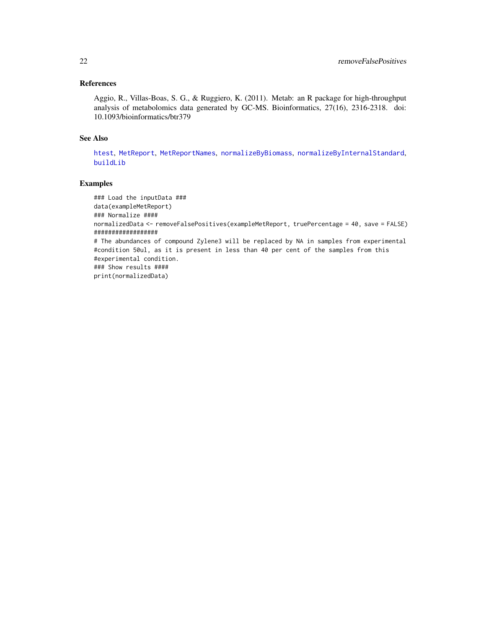# <span id="page-21-0"></span>References

Aggio, R., Villas-Boas, S. G., & Ruggiero, K. (2011). Metab: an R package for high-throughput analysis of metabolomics data generated by GC-MS. Bioinformatics, 27(16), 2316-2318. doi: 10.1093/bioinformatics/btr379

#### See Also

[htest](#page-7-1), [MetReport](#page-9-1), [MetReportNames](#page-13-1), [normalizeByBiomass](#page-16-1), [normalizeByInternalStandard](#page-17-1), [buildLib](#page-2-1)

# Examples

```
### Load the inputData ###
data(exampleMetReport)
### Normalize ####
normalizedData <- removeFalsePositives(exampleMetReport, truePercentage = 40, save = FALSE)
##################
# The abundances of compound Zylene3 will be replaced by NA in samples from experimental
#condition 50ul, as it is present in less than 40 per cent of the samples from this
#experimental condition.
### Show results ####
print(normalizedData)
```